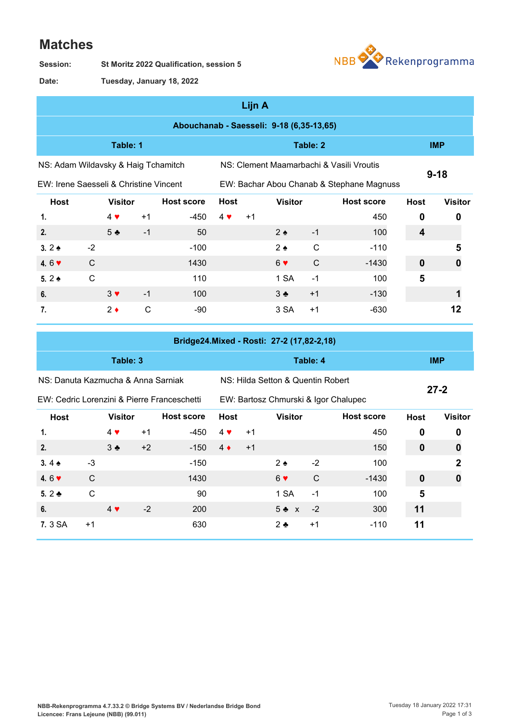## **Matches**

**St Moritz 2022 Qualification, session 5 Session:**



**Tuesday, January 18, 2022 Date:**

|                                          |              |                |      |                   |             | Lijn A                                    |                   |            |                                          |             |                |  |  |
|------------------------------------------|--------------|----------------|------|-------------------|-------------|-------------------------------------------|-------------------|------------|------------------------------------------|-------------|----------------|--|--|
| Abouchanab - Saesseli: 9-18 (6,35-13,65) |              |                |      |                   |             |                                           |                   |            |                                          |             |                |  |  |
| Table: 1                                 |              |                |      |                   |             |                                           |                   | <b>IMP</b> |                                          |             |                |  |  |
| NS: Adam Wildavsky & Haig Tchamitch      |              |                |      |                   |             |                                           |                   |            | NS: Clement Maamarbachi & Vasili Vroutis |             |                |  |  |
| EW: Irene Saesseli & Christine Vincent   |              |                |      |                   |             | EW: Bachar Abou Chanab & Stephane Magnuss | $9 - 18$          |            |                                          |             |                |  |  |
| <b>Host</b>                              |              | <b>Visitor</b> |      | <b>Host score</b> | <b>Host</b> |                                           | <b>Visitor</b>    |            | <b>Host score</b>                        | <b>Host</b> | <b>Visitor</b> |  |  |
| 1.                                       |              | $4 \vee$       | $+1$ | -450              | $4 \vee$    | $+1$                                      |                   |            | 450                                      | 0           | 0              |  |  |
| 2.                                       |              | 5 <sub>2</sub> | $-1$ | 50                |             |                                           | $2 \triangle$     | $-1$       | 100                                      | 4           |                |  |  |
| 3. $2 \triangle$                         | $-2$         |                |      | $-100$            |             |                                           | $2 \triangleleft$ | C          | $-110$                                   |             | 5              |  |  |
| 4.6 $\triangledown$                      | $\mathsf{C}$ |                |      | 1430              |             |                                           | $6 \vee$          | C          | $-1430$                                  | $\bf{0}$    | 0              |  |  |
| $5.2 \triangle$                          | $\mathsf{C}$ |                |      | 110               |             |                                           | 1 SA              | $-1$       | 100                                      | 5           |                |  |  |
| 6.                                       |              | $3 \vee$       | $-1$ | 100               |             |                                           | $3 \bullet$       | $+1$       | $-130$                                   |             |                |  |  |

**7. 2 ♦** C -90 3 SA +1 -630 **12** 

|                                             |      |                |      |                   |             |                                      | Bridge24.Mixed - Rosti: 27-2 (17,82-2,18) |            |                   |                  |                  |
|---------------------------------------------|------|----------------|------|-------------------|-------------|--------------------------------------|-------------------------------------------|------------|-------------------|------------------|------------------|
|                                             |      | Table: 3       |      |                   |             |                                      |                                           | <b>IMP</b> |                   |                  |                  |
| NS: Danuta Kazmucha & Anna Sarniak          |      |                |      |                   |             | NS: Hilda Setton & Quentin Robert    |                                           | $27 - 2$   |                   |                  |                  |
| EW: Cedric Lorenzini & Pierre Franceschetti |      |                |      |                   |             | EW: Bartosz Chmurski & Igor Chalupec |                                           |            |                   |                  |                  |
| Host                                        |      | <b>Visitor</b> |      | <b>Host score</b> | <b>Host</b> |                                      | <b>Visitor</b>                            |            | <b>Host score</b> | <b>Host</b>      | <b>Visitor</b>   |
| 1.                                          |      | $4 \vee$       | $+1$ | -450              | $4 \cdot$   | $+1$                                 |                                           |            | 450               | 0                | 0                |
| 2.                                          |      | $3 +$          | $+2$ | $-150$            | $4 \bullet$ | $+1$                                 |                                           |            | 150               | $\boldsymbol{0}$ | $\boldsymbol{0}$ |
| 3.4 $\bullet$                               | $-3$ |                |      | $-150$            |             |                                      | $2 \triangle$                             | $-2$       | 100               |                  | $\overline{2}$   |
| 4.6 $\triangledown$                         | C    |                |      | 1430              |             |                                      | 6 <sub>9</sub>                            | C          | $-1430$           | $\boldsymbol{0}$ | $\mathbf 0$      |
| 5. $2 \triangleleft$                        | C    |                |      | 90                |             |                                      | 1 SA                                      | $-1$       | 100               | 5                |                  |
| 6.                                          |      | $4 \vee$       | $-2$ | 200               |             |                                      | $5 + x$                                   | $-2$       | 300               | 11               |                  |

**7.** 3 SA →1 **630** 2 ♣ →1 -110 **11**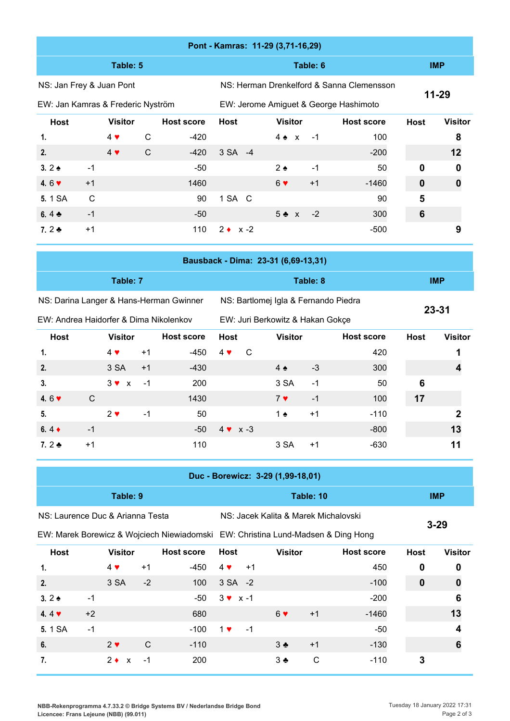|                                   | Pont - Kamras: 11-29 (3,71-16,29) |                        |              |                                         |                                     |                                       |          |                                           |                 |                  |  |  |  |
|-----------------------------------|-----------------------------------|------------------------|--------------|-----------------------------------------|-------------------------------------|---------------------------------------|----------|-------------------------------------------|-----------------|------------------|--|--|--|
|                                   |                                   | Table: 5               |              |                                         |                                     |                                       | Table: 6 |                                           | <b>IMP</b>      |                  |  |  |  |
| NS: Jan Frey & Juan Pont          |                                   |                        |              |                                         |                                     |                                       |          | NS: Herman Drenkelford & Sanna Clemensson | $11 - 29$       |                  |  |  |  |
| EW: Jan Kamras & Frederic Nyström |                                   |                        |              |                                         |                                     | EW: Jerome Amiguet & George Hashimoto |          |                                           |                 |                  |  |  |  |
| <b>Host</b>                       |                                   | <b>Visitor</b>         |              | <b>Host score</b>                       | Host                                | <b>Visitor</b>                        |          | <b>Host score</b>                         | <b>Host</b>     | <b>Visitor</b>   |  |  |  |
| 1.                                |                                   | $4 \blacktriangledown$ | $\mathsf{C}$ | $-420$                                  |                                     | $4 \triangle x$                       | $-1$     | 100                                       |                 | 8                |  |  |  |
| 2.                                |                                   | $4 \blacktriangledown$ | $\mathsf{C}$ | $-420$                                  | 3 SA -4                             |                                       |          | $-200$                                    |                 | 12               |  |  |  |
| $3.2 \triangle$                   | $-1$                              |                        |              | $-50$                                   |                                     | $2 \triangle$                         | $-1$     | 50                                        | $\mathbf 0$     | 0                |  |  |  |
| 4.6 $\triangledown$               | $+1$                              |                        |              | 1460                                    |                                     | $6 \vee$                              | $+1$     | $-1460$                                   | $\mathbf 0$     | $\boldsymbol{0}$ |  |  |  |
| 5.1 SA                            | $\mathsf{C}$                      |                        |              | 90                                      | 1 SA C                              |                                       |          | 90                                        | 5               |                  |  |  |  |
| 6.4 $\clubsuit$                   | $-1$                              |                        |              | $-50$                                   |                                     | $5 \triangle x$                       | $-2$     | 300                                       | $6\phantom{1}6$ |                  |  |  |  |
| 7. $2 - 5$                        | $+1$                              |                        |              | 110                                     | $2 \bullet x -2$                    |                                       |          | $-500$                                    |                 | 9                |  |  |  |
|                                   |                                   |                        |              |                                         | Bausback - Dima: 23-31 (6,69-13,31) |                                       |          |                                           |                 |                  |  |  |  |
|                                   |                                   |                        |              |                                         |                                     |                                       |          |                                           |                 |                  |  |  |  |
|                                   |                                   | Table: 7               |              |                                         |                                     |                                       | Table: 8 |                                           |                 | <b>IMP</b>       |  |  |  |
|                                   |                                   |                        |              | NS: Darina Langer & Hans-Herman Gwinner |                                     | NS: Bartlomej Igla & Fernando Piedra  |          |                                           |                 |                  |  |  |  |

EW: Andrea Haidorfer & Dima Nikolenkov

EW: Juri Berkowitz & Hakan Gokçe

**23-31**

| <b>Host</b>         |      | <b>Visitor</b> |      | <b>Host score</b> | <b>Host</b> |                  | <b>Visitor</b> |      | <b>Host score</b> | <b>Host</b> | <b>Visitor</b> |
|---------------------|------|----------------|------|-------------------|-------------|------------------|----------------|------|-------------------|-------------|----------------|
| 1.                  |      | $4 \vee$       | $+1$ | $-450$            | $4 \vee$    | C                |                |      | 420               |             |                |
| 2.                  |      | 3 SA           | $+1$ | $-430$            |             |                  | $4 \triangle$  | $-3$ | 300               |             |                |
| 3.                  |      | $3 \vee x$     | - 1  | 200               |             |                  | 3 SA           | $-1$ | 50                | 6           |                |
| 4.6 $\triangledown$ | C    |                |      | 1430              |             |                  | 7 <sub>9</sub> | $-1$ | 100               | 17          |                |
| 5.                  |      | $2 \vee$       | $-1$ | 50                |             |                  | 1 $\bullet$    | $+1$ | $-110$            |             | 2              |
| 6.4 $\bullet$       | $-1$ |                |      | -50               |             | $4 \times x - 3$ |                |      | $-800$            |             | 13             |
| 7. $2 \triangle$    | $+1$ |                |      | 110               |             |                  | 3 SA           | $+1$ | $-630$            |             | 11             |

|                                                                                  | Duc - Borewicz: 3-29 (1,99-18,01) |                |      |                   |                          |      |                                      |          |                   |                  |                |  |  |  |
|----------------------------------------------------------------------------------|-----------------------------------|----------------|------|-------------------|--------------------------|------|--------------------------------------|----------|-------------------|------------------|----------------|--|--|--|
|                                                                                  |                                   | Table: 9       |      |                   |                          |      | Table: 10                            |          | <b>IMP</b>        |                  |                |  |  |  |
| NS: Laurence Duc & Arianna Testa                                                 |                                   |                |      |                   |                          |      | NS: Jacek Kalita & Marek Michalovski |          |                   |                  |                |  |  |  |
| EW: Marek Borewicz & Wojciech Niewiadomski EW: Christina Lund-Madsen & Ding Hong |                                   |                |      |                   |                          |      |                                      | $3 - 29$ |                   |                  |                |  |  |  |
| <b>Host</b>                                                                      |                                   | <b>Visitor</b> |      | <b>Host score</b> | Host                     |      | <b>Visitor</b>                       |          | <b>Host score</b> | <b>Host</b>      | <b>Visitor</b> |  |  |  |
| 1.                                                                               |                                   | $4 \vee$       | $+1$ | -450              | $4 \vee$                 | $+1$ |                                      |          | 450               | 0                | 0              |  |  |  |
| 2.                                                                               |                                   | 3 SA           | $-2$ | 100               | 3 SA -2                  |      |                                      |          | $-100$            | $\boldsymbol{0}$ | 0              |  |  |  |
| 3. 2 $\bullet$                                                                   | $-1$                              |                |      | -50               | $3 \times x - 1$         |      |                                      |          | $-200$            |                  | 6              |  |  |  |
| 4.4 $\blacktriangledown$                                                         | $+2$                              |                |      | 680               |                          |      | $6 \vee$                             | $+1$     | $-1460$           |                  | 13             |  |  |  |
| <b>5.1 SA</b>                                                                    | $-1$                              |                |      | $-100$            | $1$ $\blacktriangledown$ | -1   |                                      |          | -50               |                  |                |  |  |  |
| 6.                                                                               |                                   | $2 \vee$       | C    | $-110$            |                          |      | $3 +$                                | $+1$     | $-130$            |                  | 6              |  |  |  |

**7.** 2 ♦ x -1 200 3 ♣ C -110 **3**